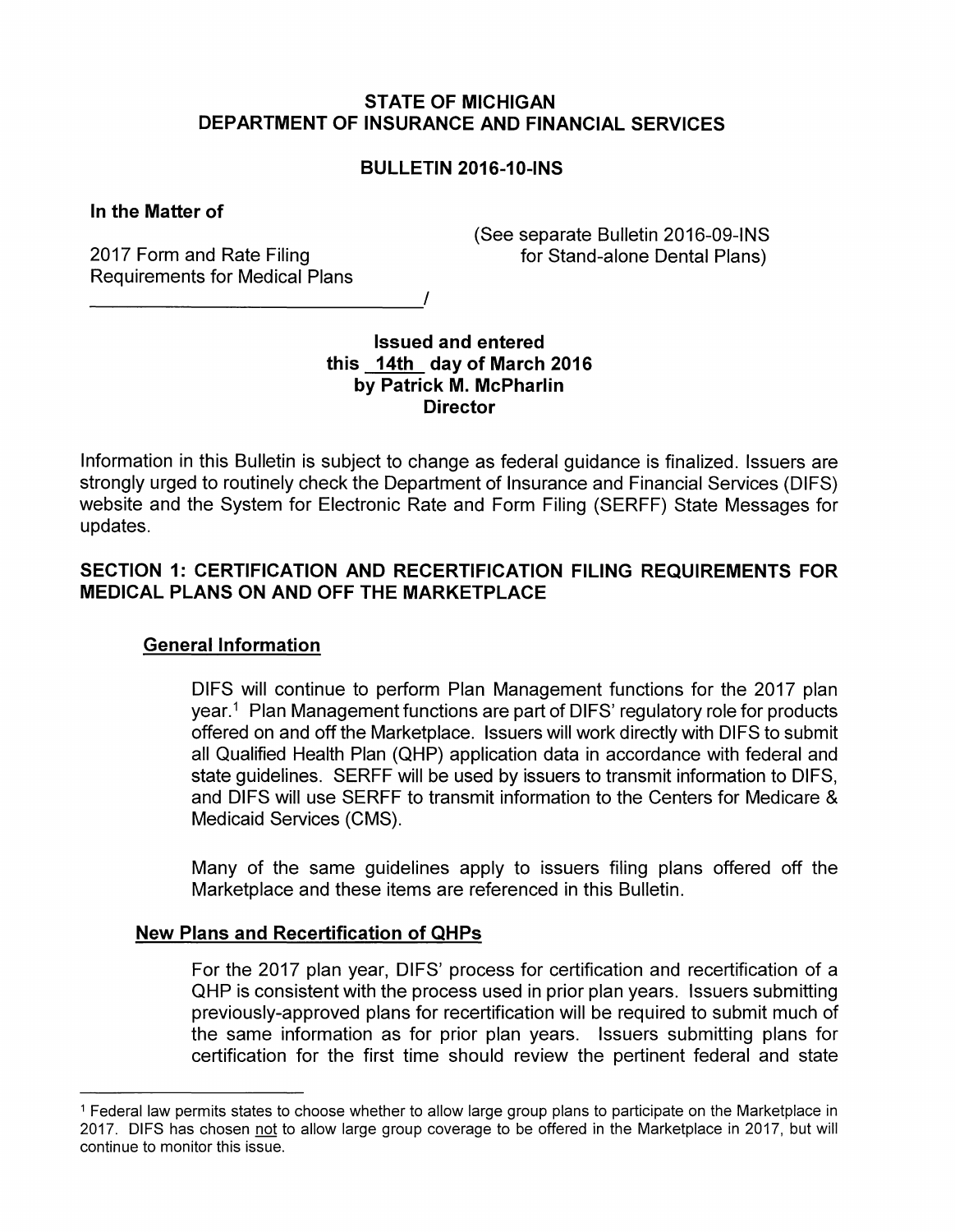## **STATE OF MICHIGAN DEPARTMENT OF INSURANCE AND FINANCIAL SERVICES**

# **BULLETIN 2016-10-INS**

## **In the Matter of**

2017 Form and Rate Filing Requirements for Medical Plans (See separate Bulletin 2016-09-INS for Stand-alone Dental Plans)

## **Issued and entered this 14th day of March 2016 by Patrick M. McPharlin Director**

Information in this Bulletin is subject to change as federal guidance is finalized. Issuers are strongly urged to routinely check the Department of Insurance and Financial Services (DIFS) website and the System for Electronic Rate and Form Filing (SERFF) State Messages for updates.

# **SECTION 1: CERTIFICATION AND RECERTIFICATION FILING REQUIREMENTS FOR MEDICAL PLANS ON AND OFF THE MARKETPLACE**

## **General Information**

DIFS will continue to perform Plan Management functions for the 2017 plan year.<sup>1</sup> Plan Management functions are part of DIFS' regulatory role for products offered on and off the Marketplace. Issuers will work directly with DIFS to submit all Qualified Health Plan (QHP) application data in accordance with federal and state guidelines. SERFF will be used by issuers to transmit information to DIFS, and DIFS will use SERFF to transmit information to the Centers for Medicare & Medicaid Services (CMS).

Many of the same guidelines apply to issuers filing plans offered off the Marketplace and these items are referenced in this Bulletin.

#### **New Plans and Recertification of QHPs**

For the 2017 plan year, DIFS' process for certification and recertification of a QHP is consistent with the process used in prior plan years. Issuers submitting previously-approved plans for recertification will be required to submit much of the same information as for prior plan years. Issuers submitting plans for certification for the first time should review the pertinent federal and state

<sup>1</sup> Federal law permits states to choose whether to allow large group plans to participate on the Marketplace in 2017. DIFS has chosen not to allow large group coverage to be offered in the Marketplace in 2017, but will continue to monitor this issue.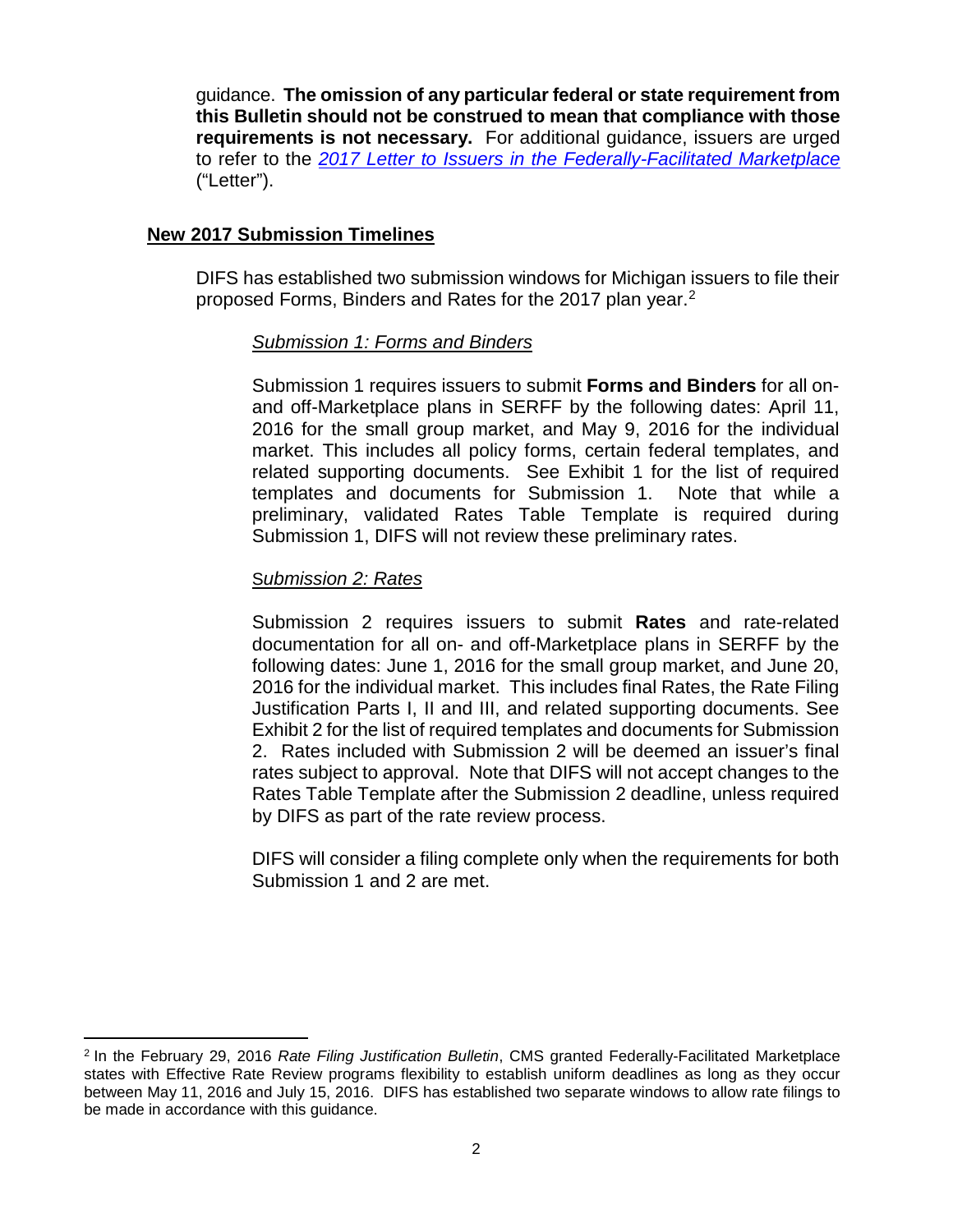guidance. **The omission of any particular federal or state requirement from this Bulletin should not be construed to mean that compliance with those requirements is not necessary.** For additional guidance, issuers are urged to refer to the *[2017 Letter to Issuers in the Federally-Facilitated Marketplace](https://www.cms.gov/CCIIO/Resources/Regulations-and-Guidance/Downloads/Final-2017-Letter-to-Issuers-2-29-16.pdf)* ("Letter").

# **New 2017 Submission Timelines**

DIFS has established two submission windows for Michigan issuers to file their proposed Forms, Binders and Rates for the 2017 plan year. [2](#page-1-0)

## *Submission 1: Forms and Binders*

Submission 1 requires issuers to submit **Forms and Binders** for all onand off-Marketplace plans in SERFF by the following dates: April 11, 2016 for the small group market, and May 9, 2016 for the individual market. This includes all policy forms, certain federal templates, and related supporting documents. See Exhibit 1 for the list of required templates and documents for Submission 1. Note that while a preliminary, validated Rates Table Template is required during Submission 1, DIFS will not review these preliminary rates.

## S*ubmission 2: Rates*

Submission 2 requires issuers to submit **Rates** and rate-related documentation for all on- and off-Marketplace plans in SERFF by the following dates: June 1, 2016 for the small group market, and June 20, 2016 for the individual market. This includes final Rates, the Rate Filing Justification Parts I, II and III, and related supporting documents. See Exhibit 2 for the list of required templates and documents for Submission 2. Rates included with Submission 2 will be deemed an issuer's final rates subject to approval. Note that DIFS will not accept changes to the Rates Table Template after the Submission 2 deadline, unless required by DIFS as part of the rate review process.

DIFS will consider a filing complete only when the requirements for both Submission 1 and 2 are met.

<span id="page-1-0"></span> $\overline{a}$ <sup>2</sup> In the February 29, 2016 *Rate Filing Justification Bulletin*, CMS granted Federally-Facilitated Marketplace states with Effective Rate Review programs flexibility to establish uniform deadlines as long as they occur between May 11, 2016 and July 15, 2016. DIFS has established two separate windows to allow rate filings to be made in accordance with this guidance.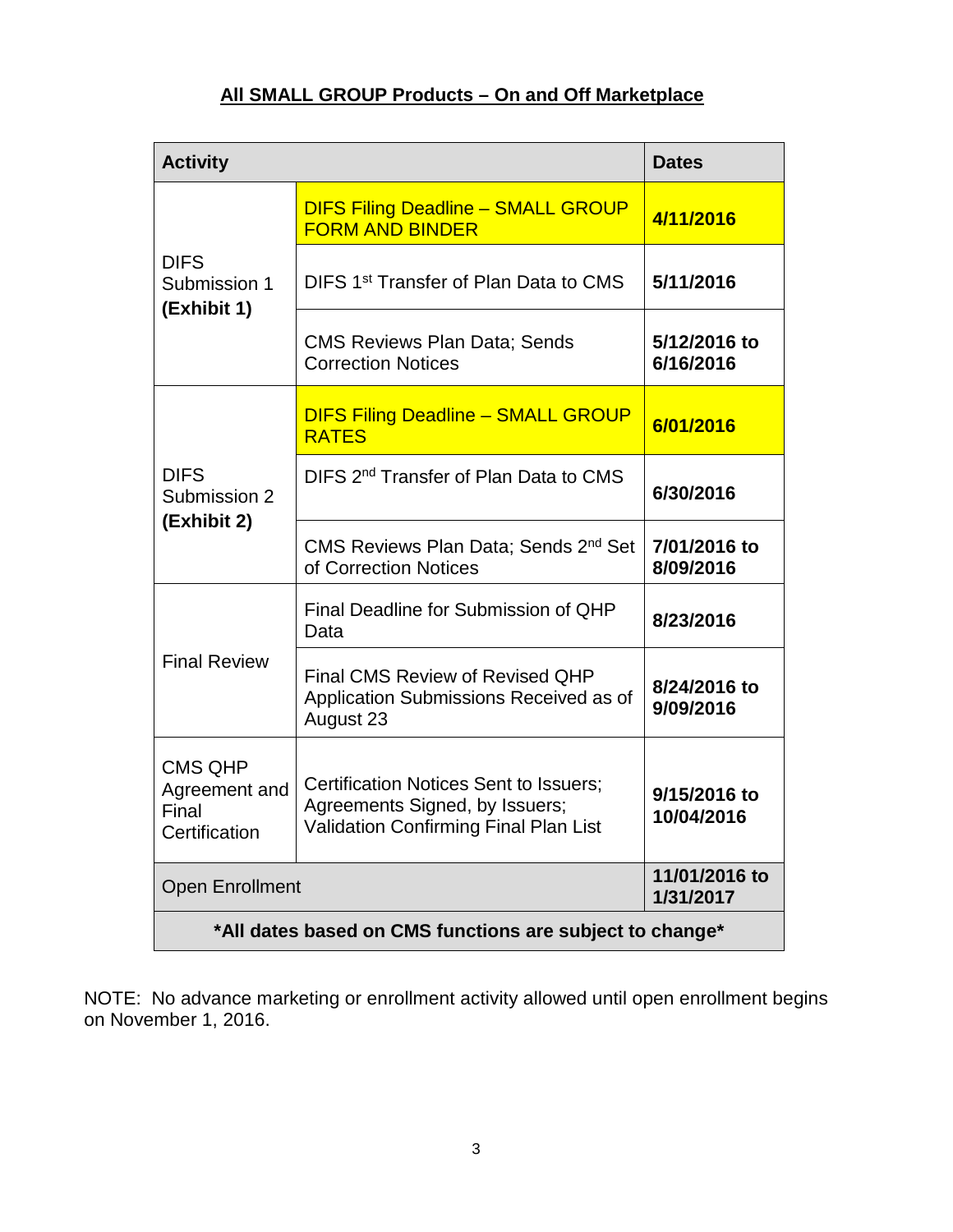# **All SMALL GROUP Products – On and Off Marketplace**

| <b>Activity</b>                                                                                                                                                                              |                                                                                               | <b>Dates</b>               |  |  |
|----------------------------------------------------------------------------------------------------------------------------------------------------------------------------------------------|-----------------------------------------------------------------------------------------------|----------------------------|--|--|
| <b>DIFS</b><br>Submission 1<br>(Exhibit 1)                                                                                                                                                   | <b>DIFS Filing Deadline - SMALL GROUP</b><br><b>FORM AND BINDER</b>                           | 4/11/2016                  |  |  |
|                                                                                                                                                                                              | DIFS 1 <sup>st</sup> Transfer of Plan Data to CMS                                             | 5/11/2016                  |  |  |
|                                                                                                                                                                                              | <b>CMS Reviews Plan Data; Sends</b><br><b>Correction Notices</b>                              | 5/12/2016 to<br>6/16/2016  |  |  |
| <b>DIFS</b><br>Submission 2<br>(Exhibit 2)                                                                                                                                                   | <b>DIFS Filing Deadline - SMALL GROUP</b><br><b>RATES</b>                                     | 6/01/2016                  |  |  |
|                                                                                                                                                                                              | DIFS 2 <sup>nd</sup> Transfer of Plan Data to CMS                                             | 6/30/2016                  |  |  |
|                                                                                                                                                                                              | CMS Reviews Plan Data; Sends 2 <sup>nd</sup> Set<br>of Correction Notices                     | 7/01/2016 to<br>8/09/2016  |  |  |
| <b>Final Review</b>                                                                                                                                                                          | Final Deadline for Submission of QHP<br>Data                                                  | 8/23/2016                  |  |  |
|                                                                                                                                                                                              | <b>Final CMS Review of Revised QHP</b><br>Application Submissions Received as of<br>August 23 | 8/24/2016 to<br>9/09/2016  |  |  |
| <b>CMS QHP</b><br><b>Certification Notices Sent to Issuers;</b><br>Agreement and<br>Agreements Signed, by Issuers;<br>Final<br><b>Validation Confirming Final Plan List</b><br>Certification |                                                                                               | 9/15/2016 to<br>10/04/2016 |  |  |
| <b>Open Enrollment</b>                                                                                                                                                                       | 11/01/2016 to<br>1/31/2017                                                                    |                            |  |  |
| *All dates based on CMS functions are subject to change*                                                                                                                                     |                                                                                               |                            |  |  |

NOTE: No advance marketing or enrollment activity allowed until open enrollment begins on November 1, 2016.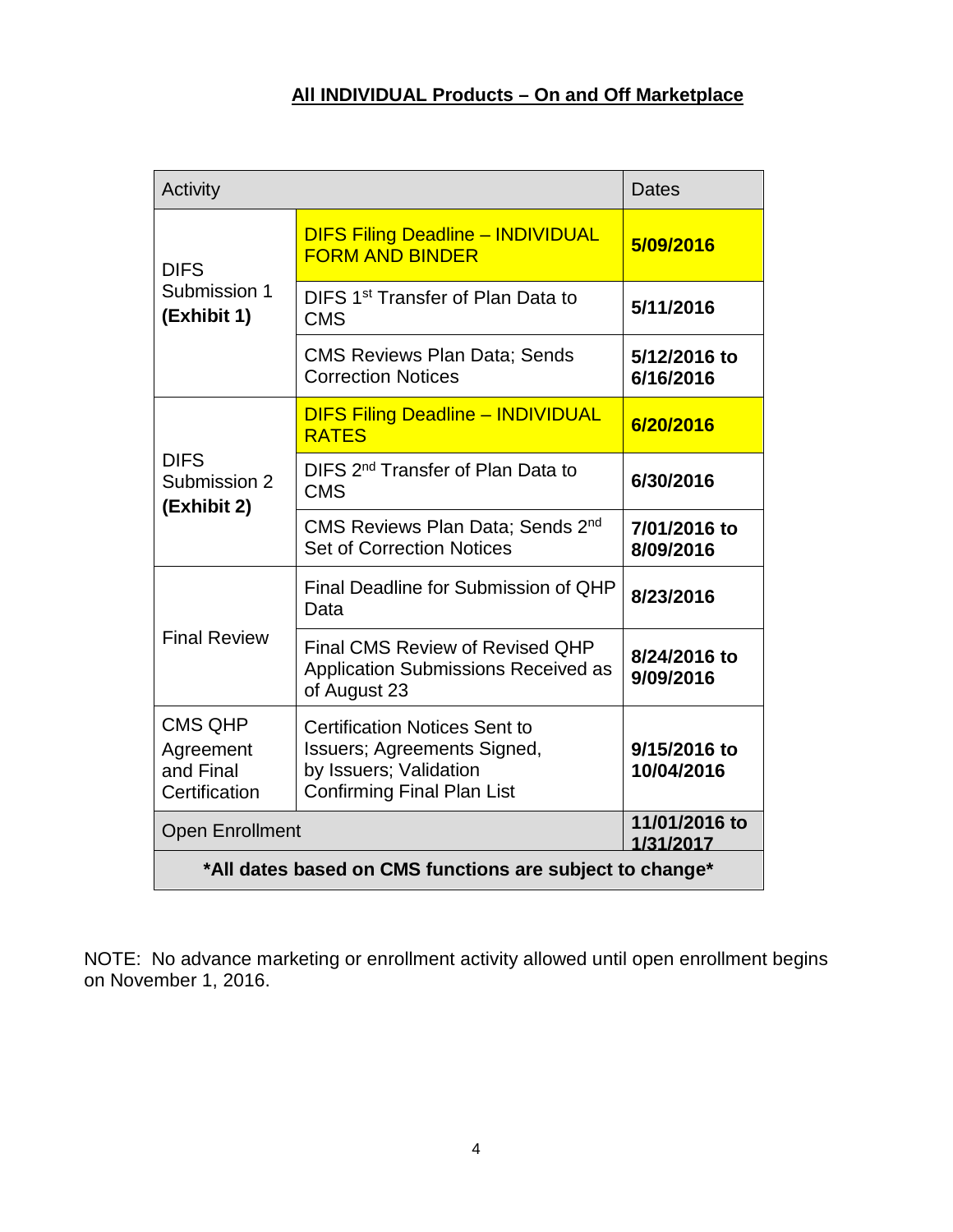# **All INDIVIDUAL Products – On and Off Marketplace**

| Activity                                                  | <b>Dates</b>                                                                                                                              |                            |  |  |  |
|-----------------------------------------------------------|-------------------------------------------------------------------------------------------------------------------------------------------|----------------------------|--|--|--|
| <b>DIFS</b><br>Submission 1<br>(Exhibit 1)                | <b>DIFS Filing Deadline - INDIVIDUAL</b><br><b>FORM AND BINDER</b>                                                                        | 5/09/2016                  |  |  |  |
|                                                           | DIFS 1 <sup>st</sup> Transfer of Plan Data to<br><b>CMS</b>                                                                               | 5/11/2016                  |  |  |  |
|                                                           | <b>CMS Reviews Plan Data; Sends</b><br><b>Correction Notices</b>                                                                          | 5/12/2016 to<br>6/16/2016  |  |  |  |
| <b>DIFS</b><br>Submission 2<br>(Exhibit 2)                | <b>DIFS Filing Deadline - INDIVIDUAL</b><br><b>RATES</b>                                                                                  | 6/20/2016                  |  |  |  |
|                                                           | DIFS 2 <sup>nd</sup> Transfer of Plan Data to<br><b>CMS</b>                                                                               | 6/30/2016                  |  |  |  |
|                                                           | CMS Reviews Plan Data; Sends 2nd<br><b>Set of Correction Notices</b>                                                                      | 7/01/2016 to<br>8/09/2016  |  |  |  |
| <b>Final Review</b>                                       | Final Deadline for Submission of QHP<br>Data                                                                                              | 8/23/2016                  |  |  |  |
|                                                           | <b>Final CMS Review of Revised QHP</b><br>Application Submissions Received as<br>of August 23                                             | 8/24/2016 to<br>9/09/2016  |  |  |  |
| <b>CMS QHP</b><br>Agreement<br>and Final<br>Certification | <b>Certification Notices Sent to</b><br><b>Issuers; Agreements Signed,</b><br>by Issuers; Validation<br><b>Confirming Final Plan List</b> | 9/15/2016 to<br>10/04/2016 |  |  |  |
| <b>Open Enrollment</b>                                    | 11/01/2016 to<br>1/31/2017                                                                                                                |                            |  |  |  |
| *All dates based on CMS functions are subject to change*  |                                                                                                                                           |                            |  |  |  |

NOTE: No advance marketing or enrollment activity allowed until open enrollment begins on November 1, 2016.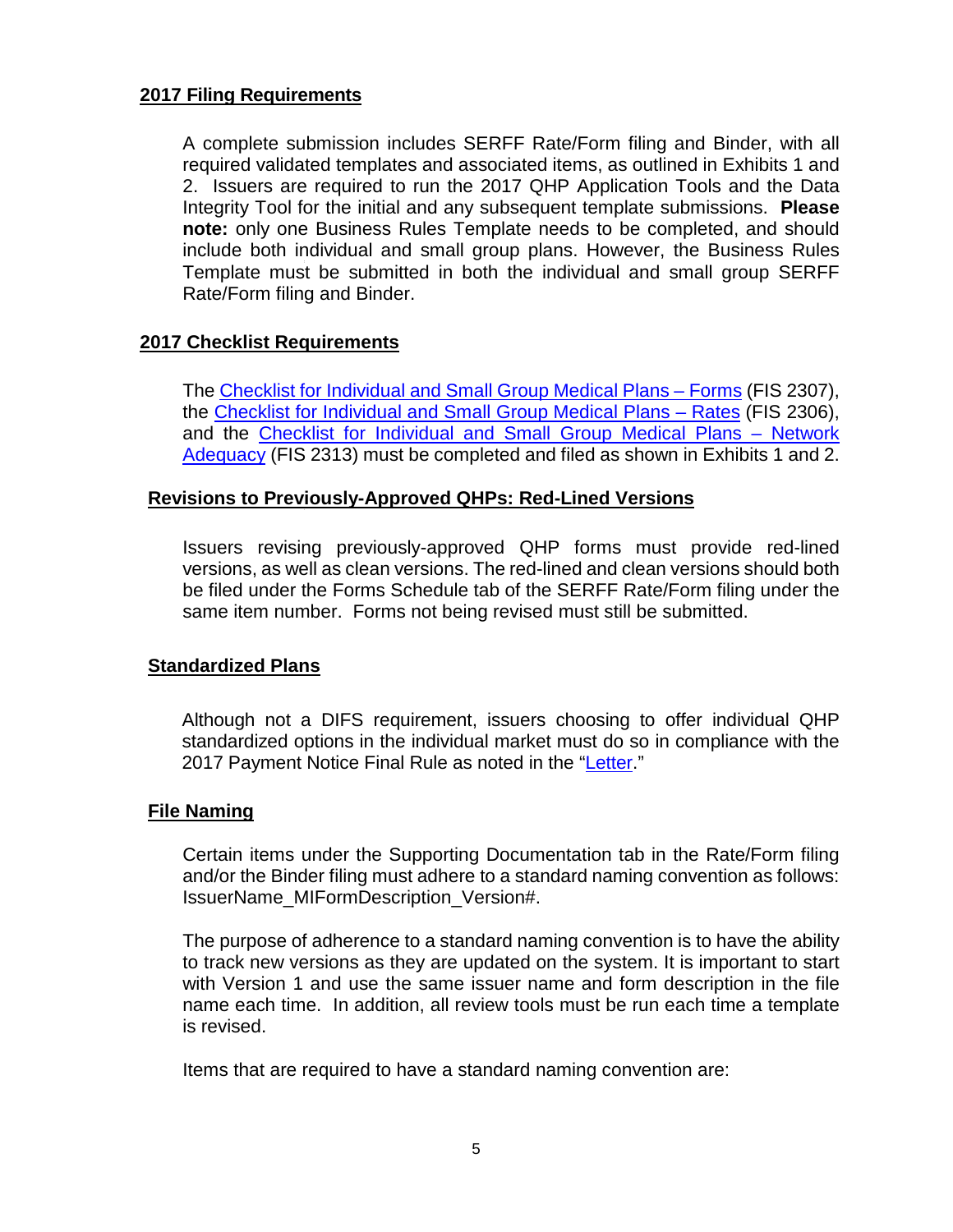## **2017 Filing Requirements**

A complete submission includes SERFF Rate/Form filing and Binder, with all required validated templates and associated items, as outlined in Exhibits 1 and 2. Issuers are required to run the 2017 QHP Application Tools and the Data Integrity Tool for the initial and any subsequent template submissions. **Please note:** only one Business Rules Template needs to be completed, and should include both individual and small group plans. However, the Business Rules Template must be submitted in both the individual and small group SERFF Rate/Form filing and Binder.

## **2017 Checklist Requirements**

The [Checklist for Individual and Small Group Medical Plans –](http://www.michigan.gov/documents/difs/FIS_2307-2017_Medical_Forms_Checklist_516830_7.docx) Forms (FIS 2307), the [Checklist for Individual and Small Group Medical Plans –](http://www.michigan.gov/documents/difs/FIS_2306-2017_Medical_Rates_Checklist_516829_7.docm) Rates (FIS 2306), and the [Checklist for Individual and Small Group Medical Plans –](http://www.michigan.gov/documents/difs/FIS_2313-2017_Medical_Network_Adequacy_Checklist_516831_7.docm) Network [Adequacy](http://www.michigan.gov/documents/difs/FIS_2313-2017_Medical_Network_Adequacy_Checklist_516831_7.docm) (FIS 2313) must be completed and filed as shown in Exhibits 1 and 2.

## **Revisions to Previously-Approved QHPs: Red-Lined Versions**

Issuers revising previously-approved QHP forms must provide red-lined versions, as well as clean versions. The red-lined and clean versions should both be filed under the Forms Schedule tab of the SERFF Rate/Form filing under the same item number. Forms not being revised must still be submitted.

## **Standardized Plans**

Although not a DIFS requirement, issuers choosing to offer individual QHP standardized options in the individual market must do so in compliance with the 2017 Payment Notice Final Rule as noted in the ["Letter.](https://www.cms.gov/CCIIO/Resources/Regulations-and-Guidance/Downloads/Final-2017-Letter-to-Issuers-2-29-16.pdf)"

#### **File Naming**

Certain items under the Supporting Documentation tab in the Rate/Form filing and/or the Binder filing must adhere to a standard naming convention as follows: IssuerName\_MIFormDescription\_Version#.

The purpose of adherence to a standard naming convention is to have the ability to track new versions as they are updated on the system. It is important to start with Version 1 and use the same issuer name and form description in the file name each time. In addition, all review tools must be run each time a template is revised.

Items that are required to have a standard naming convention are: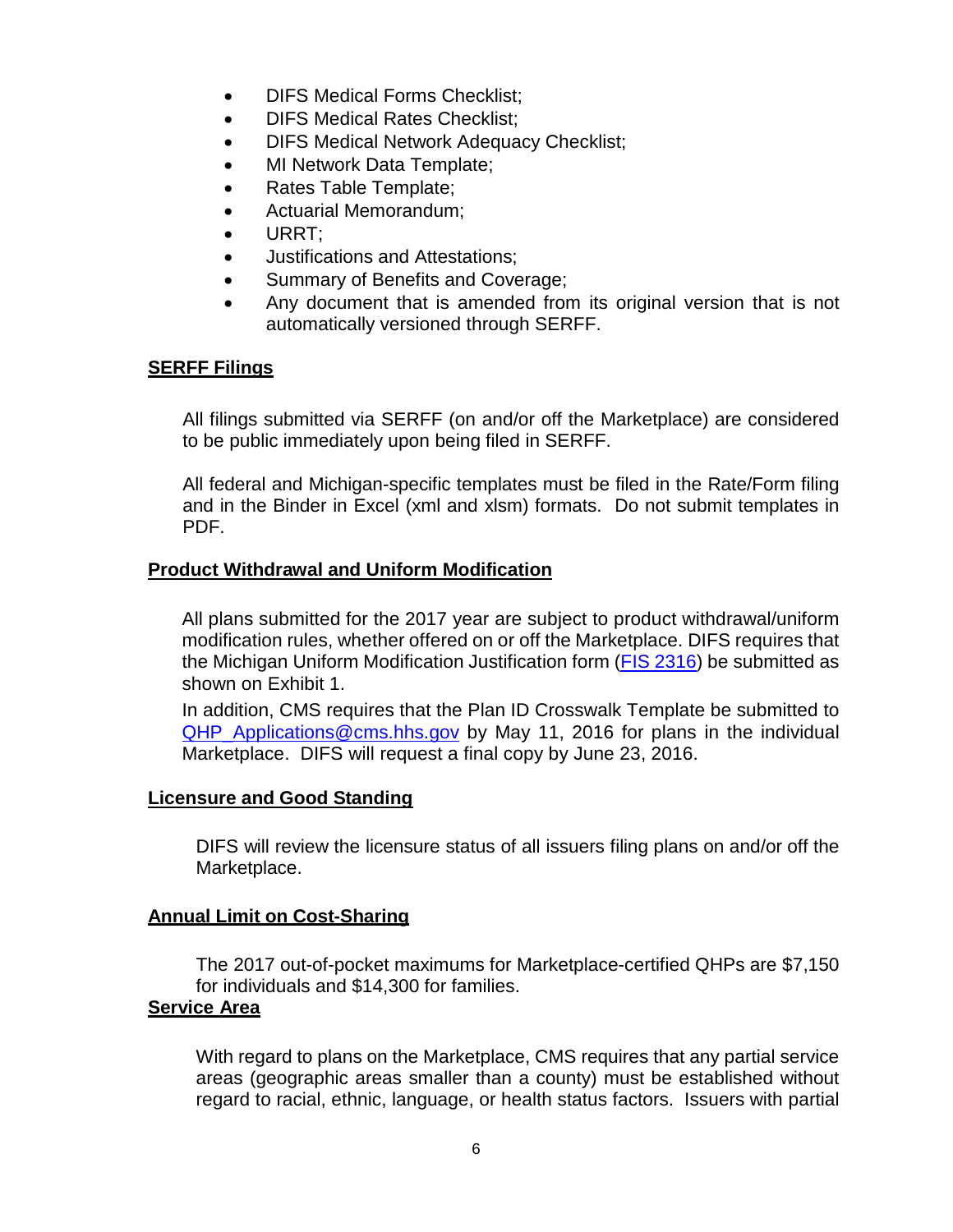- **DIFS Medical Forms Checklist:**
- DIFS Medical Rates Checklist;
- DIFS Medical Network Adequacy Checklist;
- MI Network Data Template;
- Rates Table Template;
- Actuarial Memorandum;
- URRT;
- Justifications and Attestations;
- Summary of Benefits and Coverage;
- Any document that is amended from its original version that is not automatically versioned through SERFF.

## **SERFF Filings**

All filings submitted via SERFF (on and/or off the Marketplace) are considered to be public immediately upon being filed in SERFF.

All federal and Michigan-specific templates must be filed in the Rate/Form filing and in the Binder in Excel (xml and xlsm) formats. Do not submit templates in PDF.

## **Product Withdrawal and Uniform Modification**

All plans submitted for the 2017 year are subject to product withdrawal/uniform modification rules, whether offered on or off the Marketplace. DIFS requires that the Michigan Uniform Modification Justification form [\(FIS 2316\)](http://www.michigan.gov/documents/difs/FIS_2316-2017_MI_Uniform_Modification_516593_7.docx) be submitted as shown on Exhibit 1.

In addition, CMS requires that the Plan ID Crosswalk Template be submitted to [QHP\\_Applications@cms.hhs.gov](mailto:QHP_Applications@cms.hhs.gov) by May 11, 2016 for plans in the individual Marketplace. DIFS will request a final copy by June 23, 2016.

#### **Licensure and Good Standing**

DIFS will review the licensure status of all issuers filing plans on and/or off the Marketplace.

## **Annual Limit on Cost-Sharing**

The 2017 out-of-pocket maximums for Marketplace-certified QHPs are \$7,150 for individuals and \$14,300 for families.

#### **Service Area**

With regard to plans on the Marketplace, CMS requires that any partial service areas (geographic areas smaller than a county) must be established without regard to racial, ethnic, language, or health status factors. Issuers with partial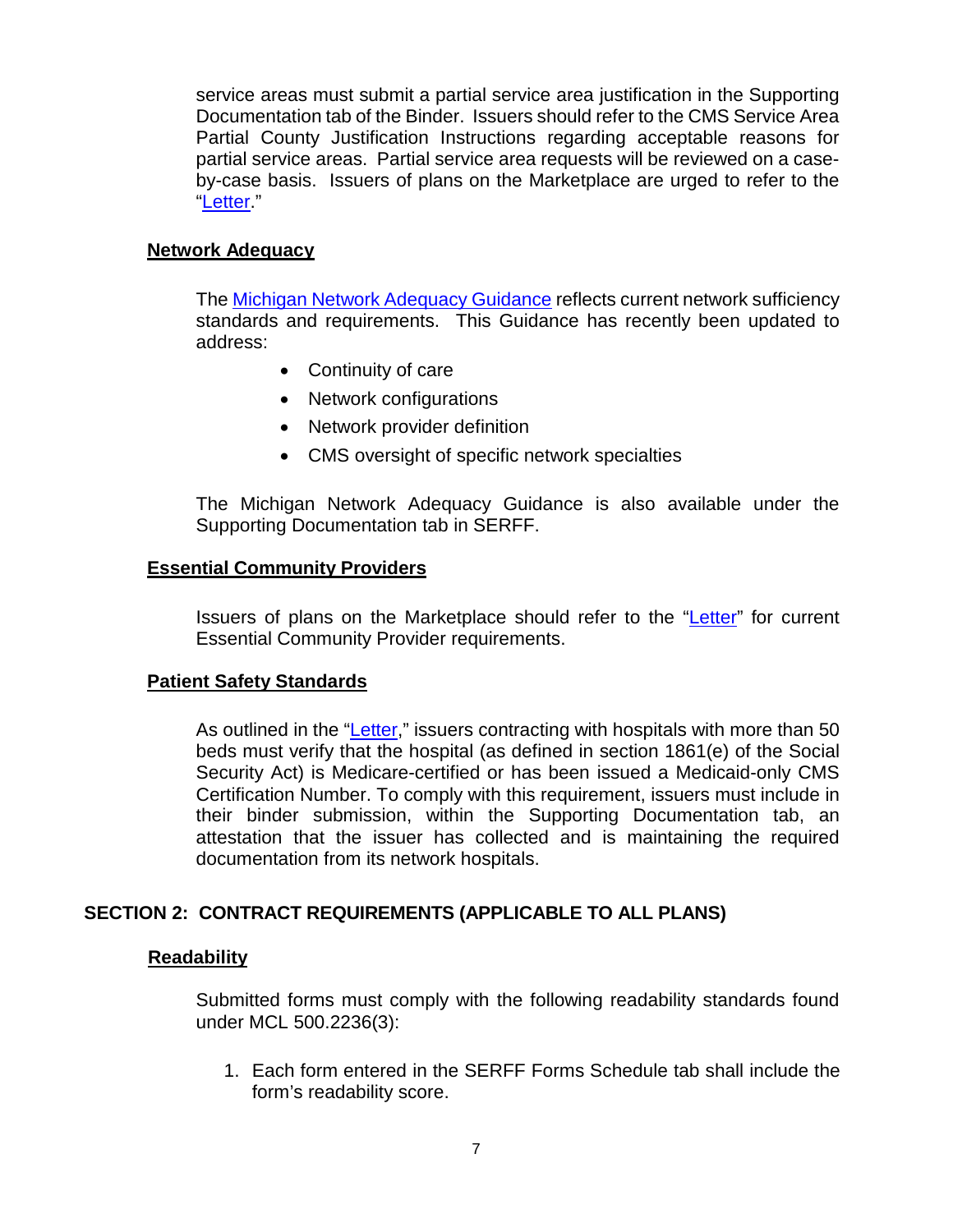service areas must submit a partial service area justification in the Supporting Documentation tab of the Binder. Issuers should refer to the CMS Service Area Partial County Justification Instructions regarding acceptable reasons for partial service areas. Partial service area requests will be reviewed on a caseby-case basis. Issuers of plans on the Marketplace are urged to refer to the ["Letter.](https://www.cms.gov/CCIIO/Resources/Regulations-and-Guidance/Downloads/Final-2017-Letter-to-Issuers-2-29-16.pdf)"

# **Network Adequacy**

The [Michigan Network Adequacy Guidance](https://www.michigan.gov/documents/difs/Network_Adequacy_Guidelines_415418_7.pdf) reflects current network sufficiency standards and requirements. This Guidance has recently been updated to address:

- Continuity of care
- Network configurations
- Network provider definition
- CMS oversight of specific network specialties

The Michigan Network Adequacy Guidance is also available under the Supporting Documentation tab in SERFF.

## **Essential Community Providers**

Issuers of plans on the Marketplace should refer to the ["Letter"](https://www.cms.gov/CCIIO/Resources/Regulations-and-Guidance/Downloads/Final-2017-Letter-to-Issuers-2-29-16.pdf) for current Essential Community Provider requirements.

## **Patient Safety Standards**

As outlined in the ["Letter,](https://www.cms.gov/CCIIO/Resources/Regulations-and-Guidance/Downloads/Final-2017-Letter-to-Issuers-2-29-16.pdf)" issuers contracting with hospitals with more than 50 beds must verify that the hospital (as defined in section 1861(e) of the Social Security Act) is Medicare-certified or has been issued a Medicaid-only CMS Certification Number. To comply with this requirement, issuers must include in their binder submission, within the Supporting Documentation tab, an attestation that the issuer has collected and is maintaining the required documentation from its network hospitals.

## **SECTION 2: CONTRACT REQUIREMENTS (APPLICABLE TO ALL PLANS)**

## **Readability**

Submitted forms must comply with the following readability standards found under MCL 500.2236(3):

1. Each form entered in the SERFF Forms Schedule tab shall include the form's readability score.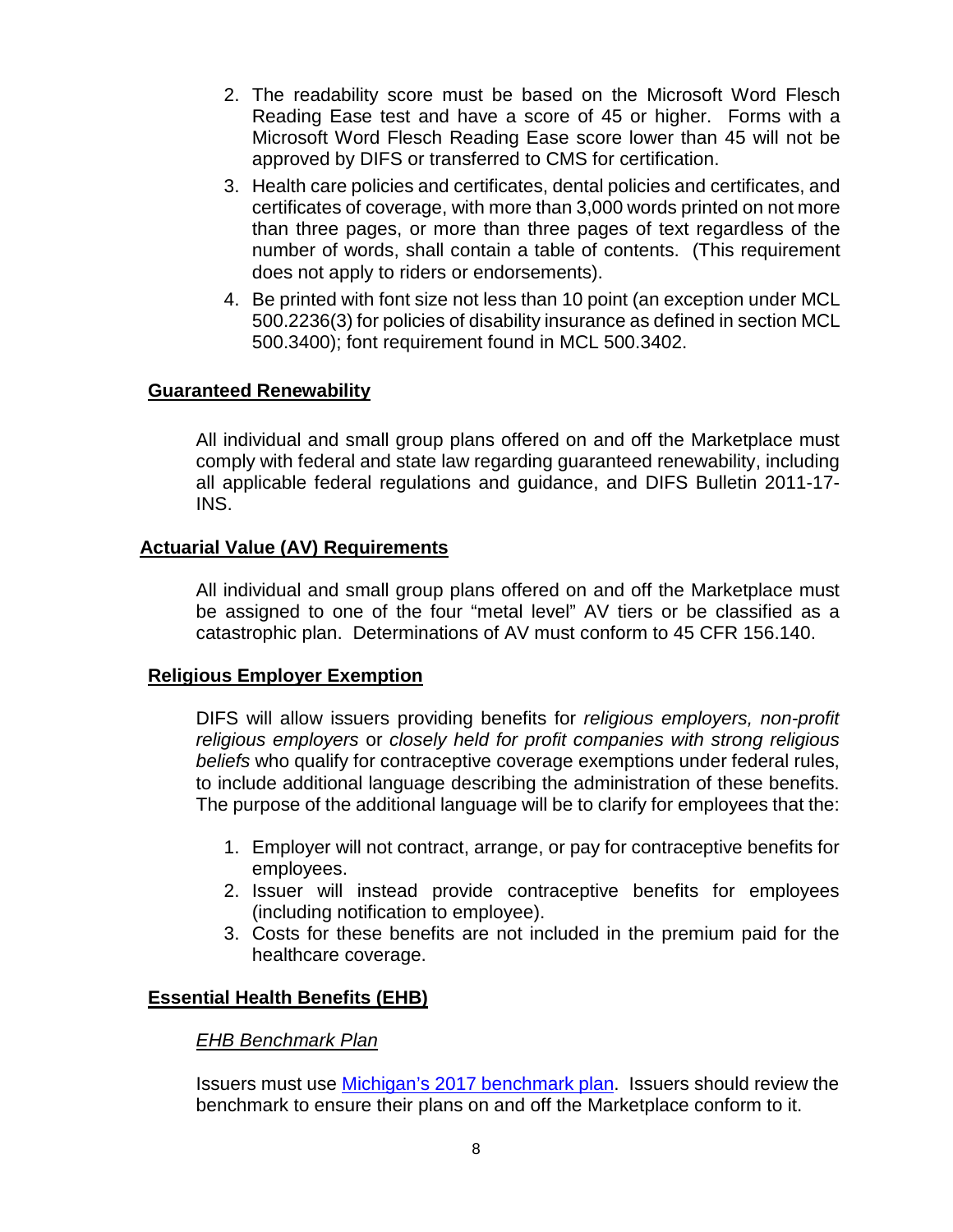- 2. The readability score must be based on the Microsoft Word Flesch Reading Ease test and have a score of 45 or higher. Forms with a Microsoft Word Flesch Reading Ease score lower than 45 will not be approved by DIFS or transferred to CMS for certification.
- 3. Health care policies and certificates, dental policies and certificates, and certificates of coverage, with more than 3,000 words printed on not more than three pages, or more than three pages of text regardless of the number of words, shall contain a table of contents. (This requirement does not apply to riders or endorsements).
- 4. Be printed with font size not less than 10 point (an exception under MCL 500.2236(3) for policies of disability insurance as defined in section MCL 500.3400); font requirement found in MCL 500.3402.

## **Guaranteed Renewability**

All individual and small group plans offered on and off the Marketplace must comply with federal and state law regarding guaranteed renewability, including all applicable federal regulations and guidance, and DIFS Bulletin 2011-17- INS.

## **Actuarial Value (AV) Requirements**

All individual and small group plans offered on and off the Marketplace must be assigned to one of the four "metal level" AV tiers or be classified as a catastrophic plan. Determinations of AV must conform to 45 CFR 156.140.

#### **Religious Employer Exemption**

DIFS will allow issuers providing benefits for *religious employers, non-profit religious employers* or *closely held for profit companies with strong religious beliefs* who qualify for contraceptive coverage exemptions under federal rules, to include additional language describing the administration of these benefits. The purpose of the additional language will be to clarify for employees that the:

- 1. Employer will not contract, arrange, or pay for contraceptive benefits for employees.
- 2. Issuer will instead provide contraceptive benefits for employees (including notification to employee).
- 3. Costs for these benefits are not included in the premium paid for the healthcare coverage.

## **Essential Health Benefits (EHB)**

## *EHB Benchmark Plan*

Issuers must use [Michigan's 2017 benchmark plan.](https://www.cms.gov/cciio/resources/data-resources/ehb.html#Michigan) Issuers should review the benchmark to ensure their plans on and off the Marketplace conform to it.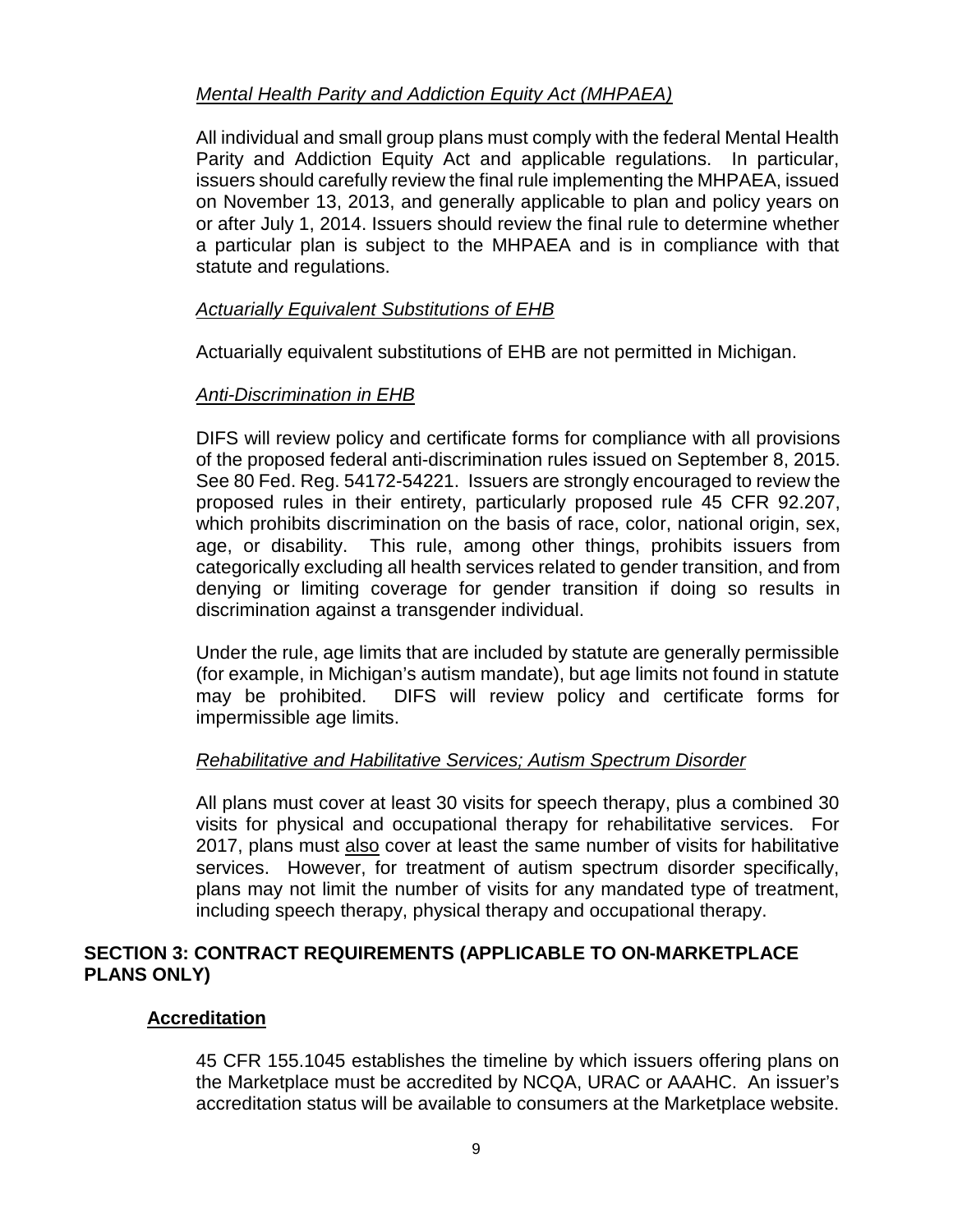# *Mental Health Parity and Addiction Equity Act (MHPAEA)*

All individual and small group plans must comply with the federal Mental Health Parity and Addiction Equity Act and applicable regulations. In particular, issuers should carefully review the final rule implementing the MHPAEA, issued on November 13, 2013, and generally applicable to plan and policy years on or after July 1, 2014. Issuers should review the final rule to determine whether a particular plan is subject to the MHPAEA and is in compliance with that statute and regulations.

## *Actuarially Equivalent Substitutions of EHB*

Actuarially equivalent substitutions of EHB are not permitted in Michigan.

## *Anti-Discrimination in EHB*

DIFS will review policy and certificate forms for compliance with all provisions of the proposed federal anti-discrimination rules issued on September 8, 2015. See 80 Fed. Reg. 54172-54221. Issuers are strongly encouraged to review the proposed rules in their entirety, particularly proposed rule 45 CFR 92.207, which prohibits discrimination on the basis of race, color, national origin, sex, age, or disability. This rule, among other things, prohibits issuers from categorically excluding all health services related to gender transition, and from denying or limiting coverage for gender transition if doing so results in discrimination against a transgender individual.

Under the rule, age limits that are included by statute are generally permissible (for example, in Michigan's autism mandate), but age limits not found in statute may be prohibited. DIFS will review policy and certificate forms for impermissible age limits.

## *Rehabilitative and Habilitative Services; Autism Spectrum Disorder*

All plans must cover at least 30 visits for speech therapy, plus a combined 30 visits for physical and occupational therapy for rehabilitative services. For 2017, plans must also cover at least the same number of visits for habilitative services. However, for treatment of autism spectrum disorder specifically, plans may not limit the number of visits for any mandated type of treatment, including speech therapy, physical therapy and occupational therapy.

## **SECTION 3: CONTRACT REQUIREMENTS (APPLICABLE TO ON-MARKETPLACE PLANS ONLY)**

## **Accreditation**

45 CFR 155.1045 establishes the timeline by which issuers offering plans on the Marketplace must be accredited by NCQA, URAC or AAAHC. An issuer's accreditation status will be available to consumers at the Marketplace website.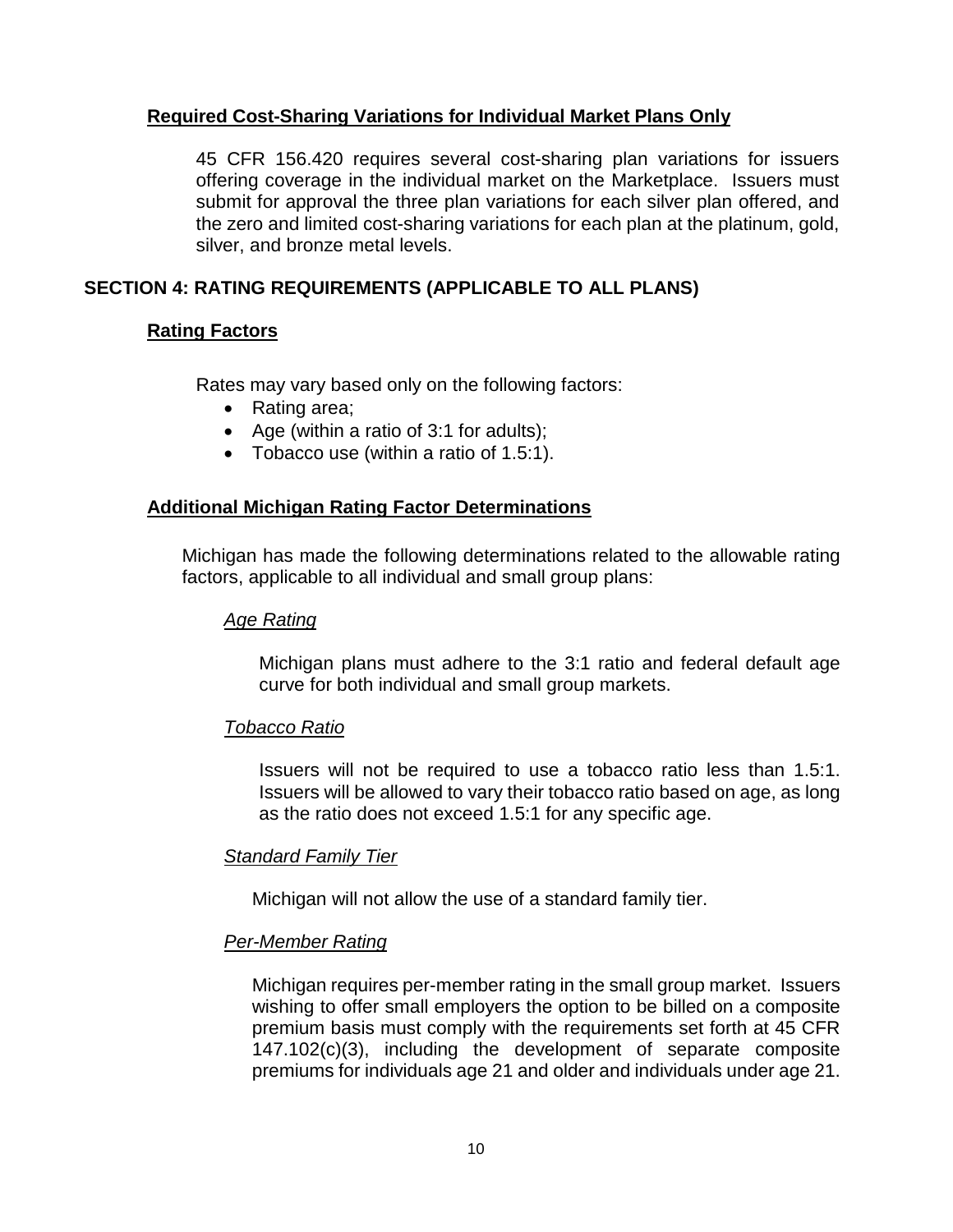# **Required Cost-Sharing Variations for Individual Market Plans Only**

45 CFR 156.420 requires several cost-sharing plan variations for issuers offering coverage in the individual market on the Marketplace. Issuers must submit for approval the three plan variations for each silver plan offered, and the zero and limited cost-sharing variations for each plan at the platinum, gold, silver, and bronze metal levels.

# **SECTION 4: RATING REQUIREMENTS (APPLICABLE TO ALL PLANS)**

## **Rating Factors**

Rates may vary based only on the following factors:

- Rating area;
- Age (within a ratio of 3:1 for adults);
- Tobacco use (within a ratio of 1.5:1).

## **Additional Michigan Rating Factor Determinations**

Michigan has made the following determinations related to the allowable rating factors, applicable to all individual and small group plans:

## *Age Rating*

Michigan plans must adhere to the 3:1 ratio and federal default age curve for both individual and small group markets.

## *Tobacco Ratio*

Issuers will not be required to use a tobacco ratio less than 1.5:1. Issuers will be allowed to vary their tobacco ratio based on age, as long as the ratio does not exceed 1.5:1 for any specific age.

## *Standard Family Tier*

Michigan will not allow the use of a standard family tier.

## *Per-Member Rating*

Michigan requires per-member rating in the small group market. Issuers wishing to offer small employers the option to be billed on a composite premium basis must comply with the requirements set forth at 45 CFR 147.102(c)(3), including the development of separate composite premiums for individuals age 21 and older and individuals under age 21.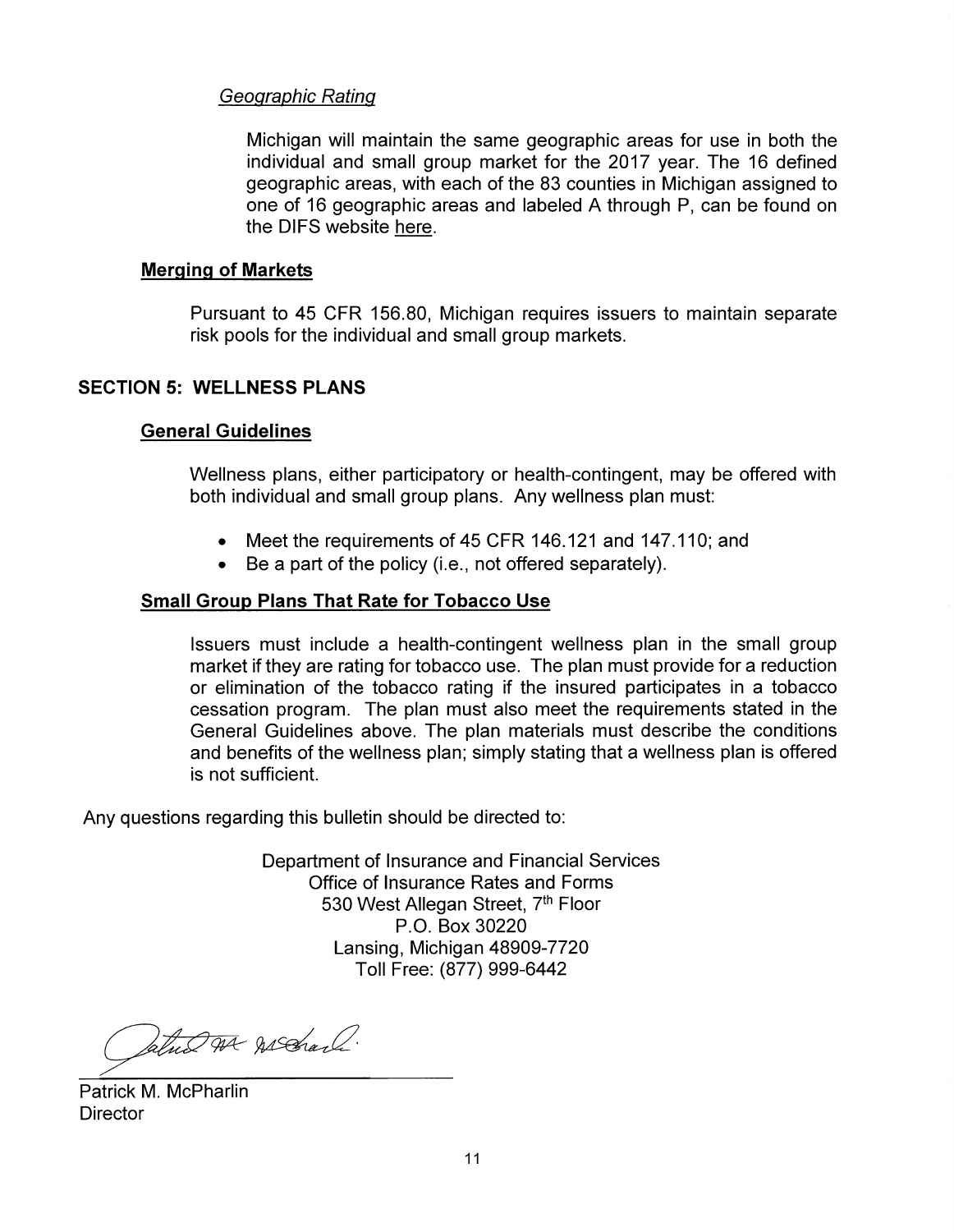# Geographic Rating

Michigan will maintain the same geographic areas for use in both the individual and small group market for the 2017 year. The 16 defined geographic areas, with each of the 83 counties in Michigan assigned to one of 16 geographic areas and labeled A through P, can be found on the DIFS websit[e here.](http://www.michigan.gov/documents/difs/Map_of_MI_Rating_Areas_435327_7.pdf) 

## **Merging of Markets**

Pursuant to 45 CFR 156.80, Michigan requires issuers to maintain separate risk pools for the individual and small group markets.

## **SECTION 5: WELLNESS PLANS**

## **General Guidelines**

Wellness plans, either participatory or health-contingent, may be offered with both individual and small group plans. Any wellness plan must:

- Meet the requirements of 45 CFR 146.121 and 147.110; and
- Be a part of the policy (i.e., not offered separately).

## **Small Group Plans That Rate for Tobacco Use**

Issuers must include a health-contingent wellness plan in the small group market if they are rating for tobacco use. The plan must provide for a reduction or elimination of the tobacco rating if the insured participates in a tobacco cessation program. The plan must also meet the requirements stated in the General Guidelines above. The plan materials must describe the conditions and benefits of the wellness plan; simply stating that a wellness plan is offered is not sufficient.

Any questions regarding this bulletin should be directed to:

Department of Insurance and Financial Services Office of Insurance Rates and Forms 530 West Allegan Street, 7<sup>th</sup> Floor P.O. Box 30220 Lansing, Michigan 48909-7720 Toll Free: (877) 999-6442

Satur At Assaul.

Patrick M. McPharlin **Director**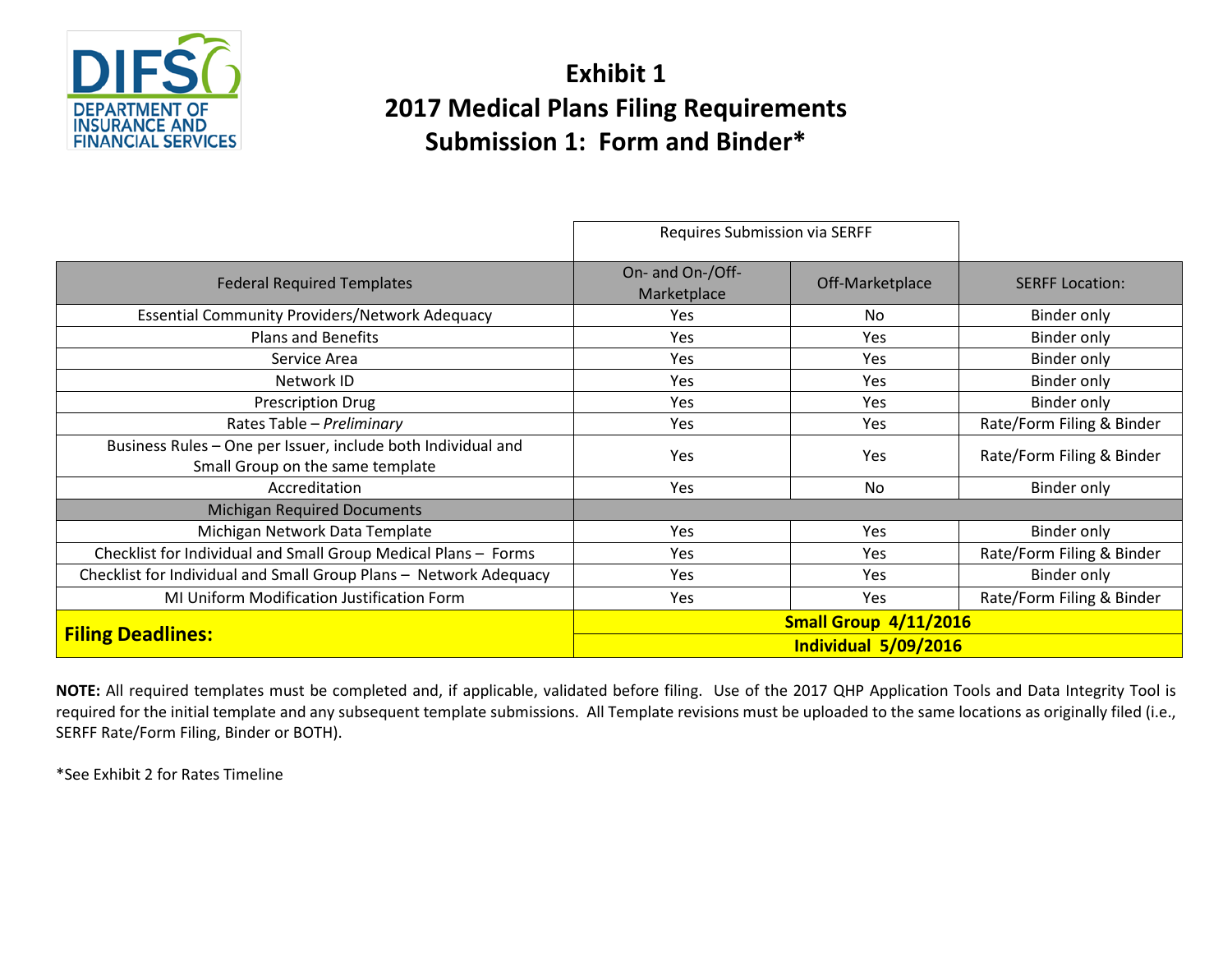

# **Exhibit 1 2017 Medical Plans Filing Requirements Submission 1: Form and Binder\***

|                                                                                                  | Requires Submission via SERFF   |                 |                           |
|--------------------------------------------------------------------------------------------------|---------------------------------|-----------------|---------------------------|
| <b>Federal Required Templates</b>                                                                | On- and On-/Off-<br>Marketplace | Off-Marketplace | <b>SERFF Location:</b>    |
| <b>Essential Community Providers/Network Adequacy</b>                                            | Yes                             | No              | Binder only               |
| <b>Plans and Benefits</b>                                                                        | Yes                             | Yes             | Binder only               |
| Service Area                                                                                     | Yes                             | Yes             | Binder only               |
| Network ID                                                                                       | Yes                             | Yes             | Binder only               |
| <b>Prescription Drug</b>                                                                         | <b>Yes</b>                      | <b>Yes</b>      | Binder only               |
| Rates Table - Preliminary                                                                        | Yes                             | Yes             | Rate/Form Filing & Binder |
| Business Rules - One per Issuer, include both Individual and<br>Small Group on the same template | Yes                             | <b>Yes</b>      | Rate/Form Filing & Binder |
| Accreditation                                                                                    | Yes                             | N <sub>0</sub>  | Binder only               |
| <b>Michigan Required Documents</b>                                                               |                                 |                 |                           |
| Michigan Network Data Template                                                                   | Yes                             | Yes             | Binder only               |
| Checklist for Individual and Small Group Medical Plans - Forms                                   | Yes                             | Yes             | Rate/Form Filing & Binder |
| Checklist for Individual and Small Group Plans - Network Adequacy                                | Yes                             | Yes             | Binder only               |
| MI Uniform Modification Justification Form                                                       | Yes                             | Yes             | Rate/Form Filing & Binder |
| <b>Filing Deadlines:</b>                                                                         | <b>Small Group 4/11/2016</b>    |                 |                           |
|                                                                                                  | Individual 5/09/2016            |                 |                           |

**NOTE:** All required templates must be completed and, if applicable, validated before filing. Use of the 2017 QHP Application Tools and Data Integrity Tool is required for the initial template and any subsequent template submissions. All Template revisions must be uploaded to the same locations as originally filed (i.e., SERFF Rate/Form Filing, Binder or BOTH).

\*See Exhibit 2 for Rates Timeline